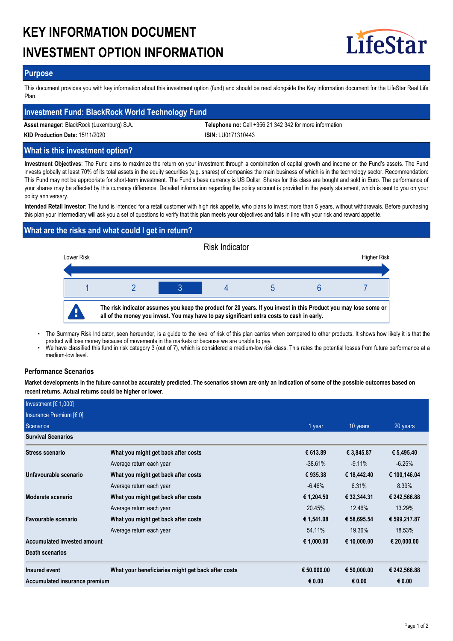# **KEY INFORMATION DOCUMENT INVESTMENT OPTION INFORMATION**



## **Purpose**

This document provides you with key information about this investment option (fund) and should be read alongside the Key information document for the LifeStar Real Life Plan.

# **Investment Fund: BlackRock World Technology Fund**

**Asset manager:** BlackRock (Luxemburg) S.A. **Telephone no:** Call +356 21 342 342 for more information

**KID Production Date:** 15/11/2020 **ISIN:** LU0171310443

# **What is this investment option?**

**Investment Objectives**: The Fund aims to maximize the return on your investment through a combination of capital growth and income on the Fund's assets. The Fund invests globally at least 70% of its total assets in the equity securities (e.g. shares) of companies the main business of which is in the technology sector. Recommendation: This Fund may not be appropriate for short-term investment. The Fund's base currency is US Dollar. Shares for this class are bought and sold in Euro. The performance of your shares may be affected by this currency difference. Detailed information regarding the policy account is provided in the yearly statement, which is sent to you on your policy anniversary.

**Intended Retail Investor**: The fund is intended for a retail customer with high risk appetite, who plans to invest more than 5 years, without withdrawals. Before purchasing this plan your intermediary will ask you a set of questions to verify that this plan meets your objectives and falls in line with your risk and reward appetite.

# **What are the risks and what could I get in return?**



- The Summary Risk Indicator, seen hereunder, is a guide to the level of risk of this plan carries when compared to other products. It shows how likely it is that the product will lose money because of movements in the markets or because we are unable to pay. •
- We have classified this fund in risk category 3 (out of 7), which is considered a medium-low risk class. This rates the potential losses from future performance at a medium-low level. •

## **Performance Scenarios**

**Market developments in the future cannot be accurately predicted. The scenarios shown are only an indication of some of the possible outcomes based on recent returns. Actual returns could be higher or lower.**

| Investment $[6 1,000]$        |                                                    |             |             |              |
|-------------------------------|----------------------------------------------------|-------------|-------------|--------------|
| Insurance Premium $[6 0]$     |                                                    |             |             |              |
| Scenarios                     | 1 year                                             | 10 years    | 20 years    |              |
| <b>Survival Scenarios</b>     |                                                    |             |             |              |
| <b>Stress scenario</b>        | What you might get back after costs                | € 613.89    | € 3,845.87  | € 5,495.40   |
|                               | Average return each year                           | $-38.61%$   | $-9.11%$    | $-6.25%$     |
| Unfavourable scenario         | What you might get back after costs                | € 935.38    | € 18,442.40 | € 100,146.04 |
|                               | Average return each year                           | $-6.46%$    | 6.31%       | 8.39%        |
| Moderate scenario             | What you might get back after costs                | € 1,204.50  | € 32,344.31 | € 242,566.88 |
|                               | Average return each year                           | 20.45%      | 12.46%      | 13.29%       |
| Favourable scenario           | What you might get back after costs                | € 1,541.08  | € 58,695.54 | € 599,217.87 |
|                               | Average return each year                           | 54.11%      | 19.36%      | 18.53%       |
| Accumulated invested amount   |                                                    | € 1,000.00  | € 10,000.00 | € 20,000.00  |
| <b>Death scenarios</b>        |                                                    |             |             |              |
| Insured event                 | What your beneficiaries might get back after costs | € 50,000.00 | € 50,000.00 | € 242,566.88 |
| Accumulated insurance premium |                                                    | € 0.00      | € 0.00      | € 0.00       |